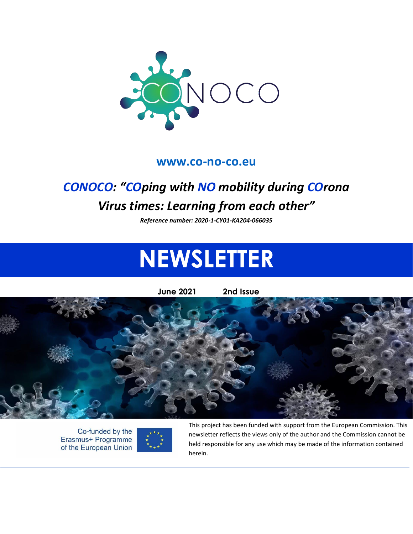

#### **[www.co-no-co.eu](http://www.co-no-co.eu/)**

# *CONOCO: "COping with NO mobility during COrona Virus times: Learning from each other"*

*Reference number: 2020-1-CY01-KA204-066035*

# **NEWSLETTER**

**June 2021 2nd Issue**



Co-funded by the Erasmus+ Programme of the European Union



This project has been funded with support from the European Commission. This newsletter reflects the views only of the author and the Commission cannot be held responsible for any use which may be made of the information contained herein.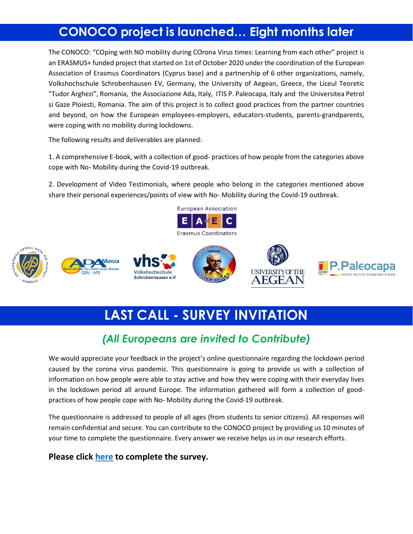# **CONOCO project is launched… Eight months later**

The CONOCO: "COping with NO mobility during COrona Virus times: Learning from each other" project is an ERASMUS+ funded project that started on 1st of October 2020 under the coordination of the European Association of Erasmus Coordinators (Cyprus base) and a partnership of 6 other organizations, namely, Volkshochschule Schrobenhausen EV, Germany, the University of Aegean, Greece, the Liceul Teoretic "Tudor Arghezi", Romania, the Associazione Ada, Italy, ITIS P. Paleocapa, Italy and the Universitea Petrol si Gaze Ploiesti, Romania. The aim of this project is to collect good practices from the partner countries and beyond, on how the European employees-employers, educators-students, parents-grandparents, were coping with no mobility during lockdowns.

The following results and deliverables are planned:

1. A comprehensive E-book, with a collection of good- practices of how people from the categories above cope with No- Mobility during the Covid-19 outbreak.

2. Development of Video Testimonials, where people who belong in the categories mentioned above share their personal experiences/points of view with No- Mobility during the Covid-19 outbreak.



# **LAST CALL - SURVEY INVITATION**

## *(All Europeans are invited to Contribute)*

We would appreciate your feedback in the project's online questionnaire regarding the lockdown period caused by the corona virus pandemic. This questionnaire is going to provide us with a collection of information on how people were able to stay active and how they were coping with their everyday lives in the lockdown period all around Europe. The information gathered will form a collection of goodpractices of how people cope with No- Mobility during the Covid-19 outbreak.

The questionnaire is addressed to people of all ages (from students to senior citizens). All responses will remain confidential and secure. You can contribute to the CONOCO project by providing us 10 minutes of your time to complete the questionnaire. Every answer we receive helps us in our research efforts.

#### **Please click [here](https://co-no-co.eu/survey/) to complete the survey.**